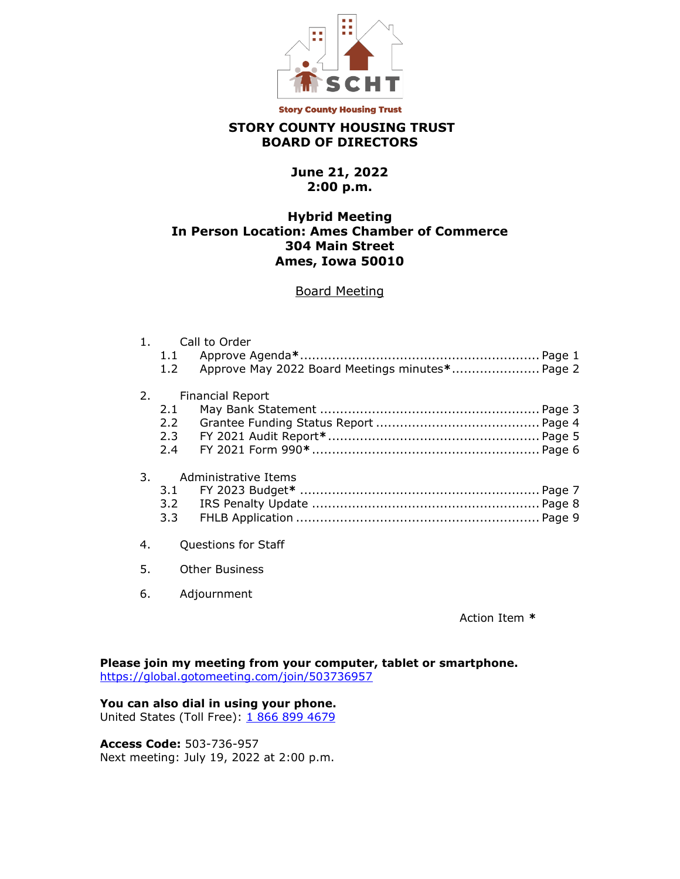

**Story County Housing Trust** 

# **STORY COUNTY HOUSING TRUST BOARD OF DIRECTORS**

# **June 21, 2022 2:00 p.m.**

# **Hybrid Meeting In Person Location: Ames Chamber of Commerce 304 Main Street Ames, Iowa 50010**

## Board Meeting

| 1 <sub>1</sub> | Call to Order           |                                                 |
|----------------|-------------------------|-------------------------------------------------|
|                |                         |                                                 |
|                | 1.2                     | Approve May 2022 Board Meetings minutes* Page 2 |
| 2.             | <b>Financial Report</b> |                                                 |
|                | 2.1                     |                                                 |
|                | 2.2                     |                                                 |
|                |                         |                                                 |
|                |                         |                                                 |
|                |                         |                                                 |
| 3.             | Administrative Items    |                                                 |
|                |                         |                                                 |
|                | 3.2                     |                                                 |
|                | $3.3 -$                 |                                                 |
|                |                         |                                                 |
| 4.             | Questions for Staff     |                                                 |
|                |                         |                                                 |
| 5.             | <b>Other Business</b>   |                                                 |
|                |                         |                                                 |
| 6.             | Adjournment             |                                                 |

Action Item **\***

**Please join my meeting from your computer, tablet or smartphone.**  <https://global.gotomeeting.com/join/503736957>

### **You can also dial in using your phone.**

United States (Toll Free): [1 866 899 4679](tel:+18668994679,,503736957)

**Access Code:** 503-736-957 Next meeting: July 19, 2022 at 2:00 p.m.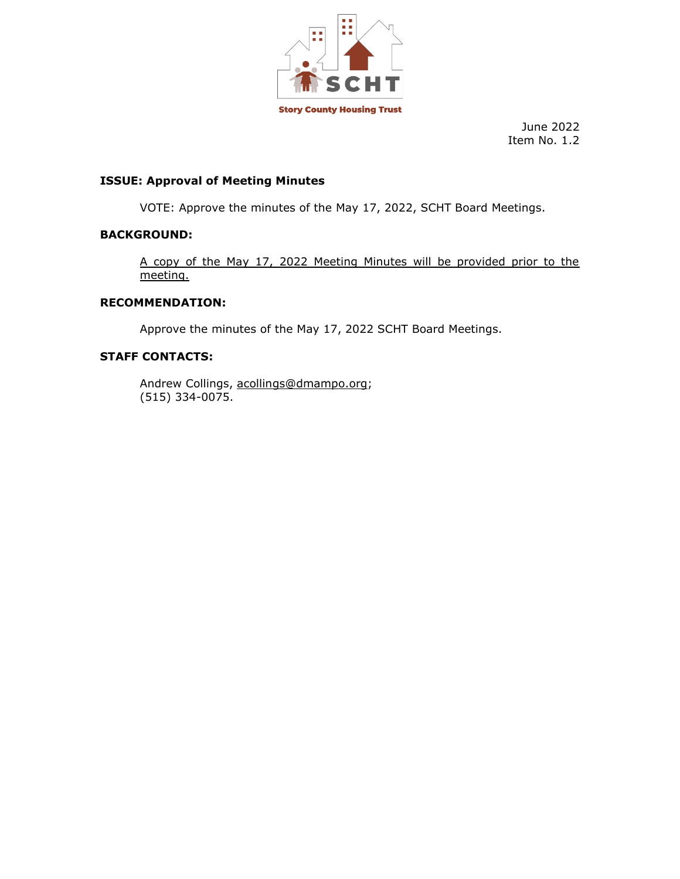

# **ISSUE: Approval of Meeting Minutes**

VOTE: Approve the minutes of the May 17, 2022, SCHT Board Meetings.

# **BACKGROUND:**

A copy of the May 17, 2022 Meeting Minutes will be provided prior to the meeting.

## **RECOMMENDATION:**

Approve the minutes of the May 17, 2022 SCHT Board Meetings.

# **STAFF CONTACTS:**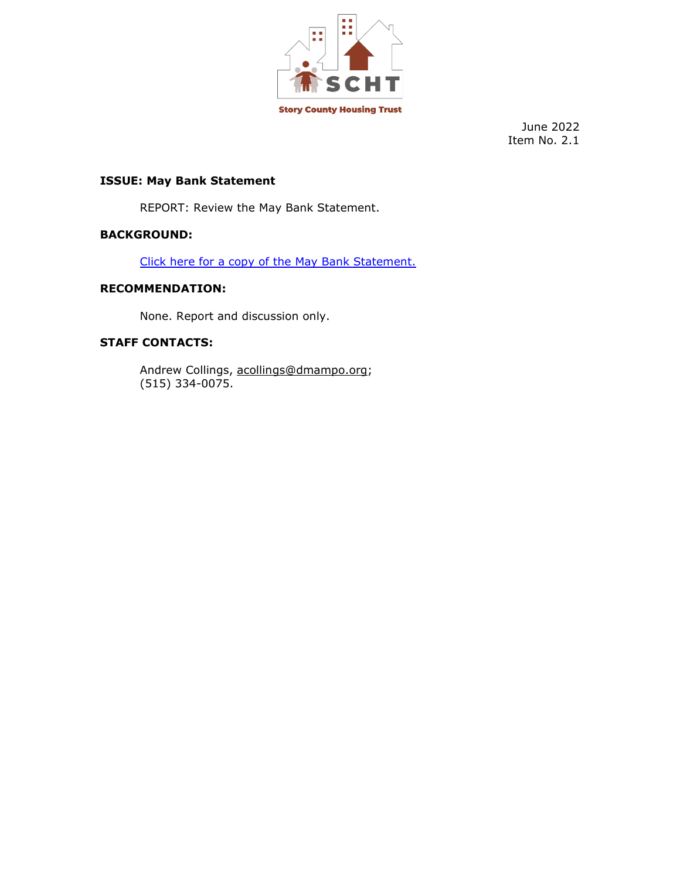

# **ISSUE: May Bank Statement**

REPORT: Review the May Bank Statement.

## **BACKGROUND:**

[Click here for a copy of the](https://storycountyht.org/wp-content/uploads/2022/06/May-2022-Bank-Statement.pdf) May Bank Statement.

### **RECOMMENDATION:**

None. Report and discussion only.

# **STAFF CONTACTS:**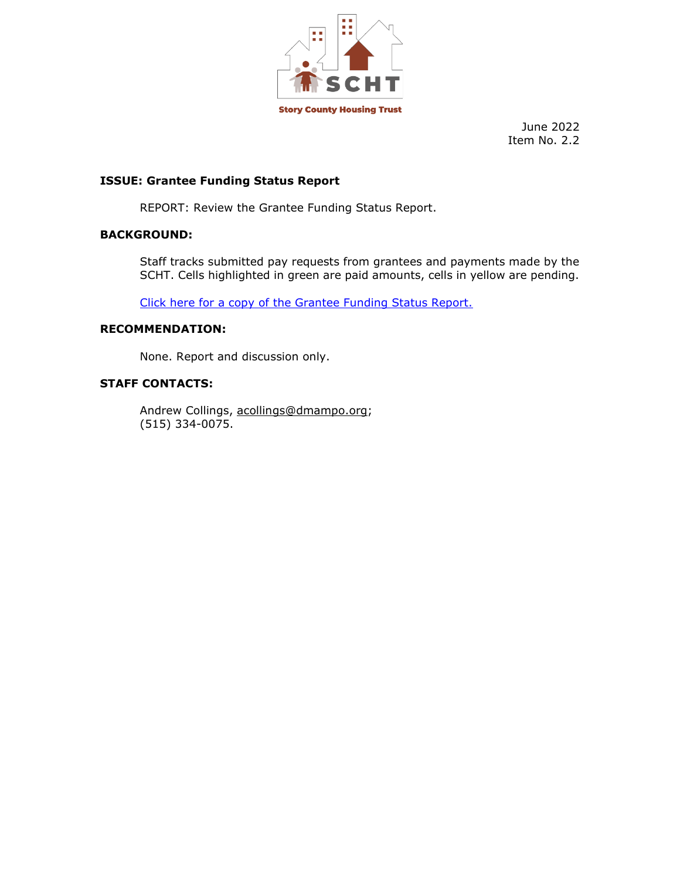

## **ISSUE: Grantee Funding Status Report**

REPORT: Review the Grantee Funding Status Report.

## **BACKGROUND:**

Staff tracks submitted pay requests from grantees and payments made by the SCHT. Cells highlighted in green are paid amounts, cells in yellow are pending.

[Click here for a copy of the Grantee Funding Status Report.](https://storycountyht.org/wp-content/uploads/2022/06/Grantee-Funding-Status-Report-6.17.22.pdf)

### **RECOMMENDATION:**

None. Report and discussion only.

#### **STAFF CONTACTS:**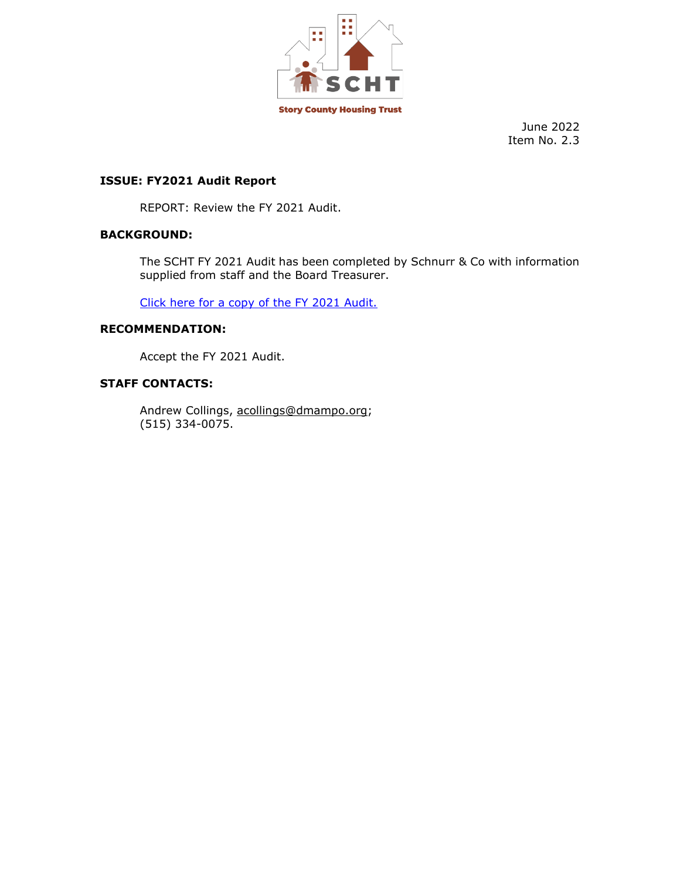

### **ISSUE: FY2021 Audit Report**

REPORT: Review the FY 2021 Audit.

# **BACKGROUND:**

The SCHT FY 2021 Audit has been completed by Schnurr & Co with information supplied from staff and the Board Treasurer.

[Click here for a copy of the FY 2021 Audit.](https://storycountyht.org/wp-content/uploads/2022/06/SCHT-2021-APPROVED-Audit-Report.pdf)

### **RECOMMENDATION:**

Accept the FY 2021 Audit.

#### **STAFF CONTACTS:**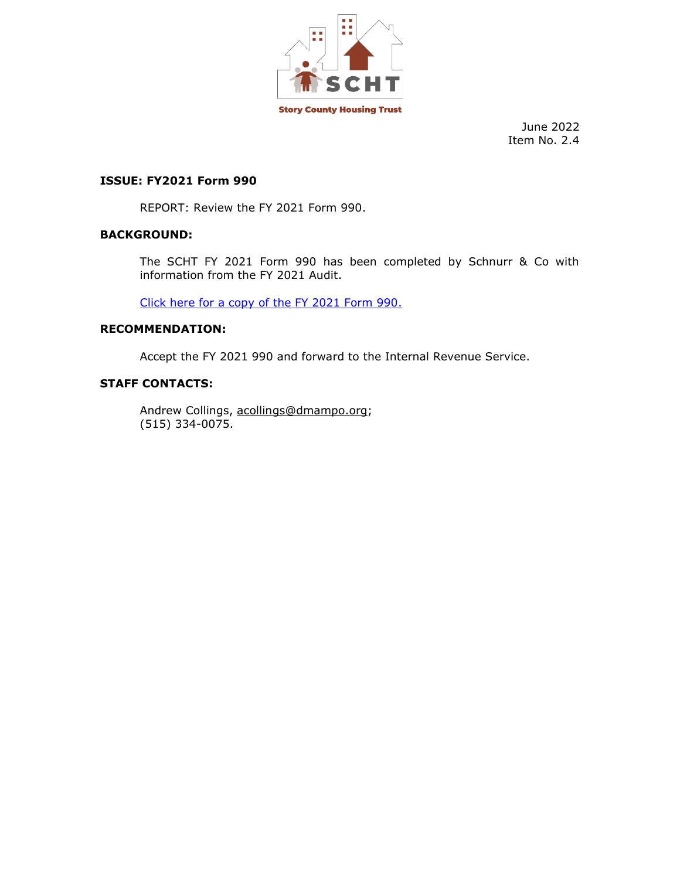

### **ISSUE: FY2021 Form 990**

REPORT: Review the FY 2021 Form 990.

### **BACKGROUND:**

The SCHT FY 2021 Form 990 has been completed by Schnurr & Co with information from the FY 2021 Audit.

[Click here for a copy of the FY 2021 Form 990.](https://storycountyht.org/wp-content/uploads/2022/06/STORY-COUNTY-HOUSING-TRUST-06-2021-FORM-990.pdf)

### **RECOMMENDATION:**

Accept the FY 2021 990 and forward to the Internal Revenue Service.

### **STAFF CONTACTS:**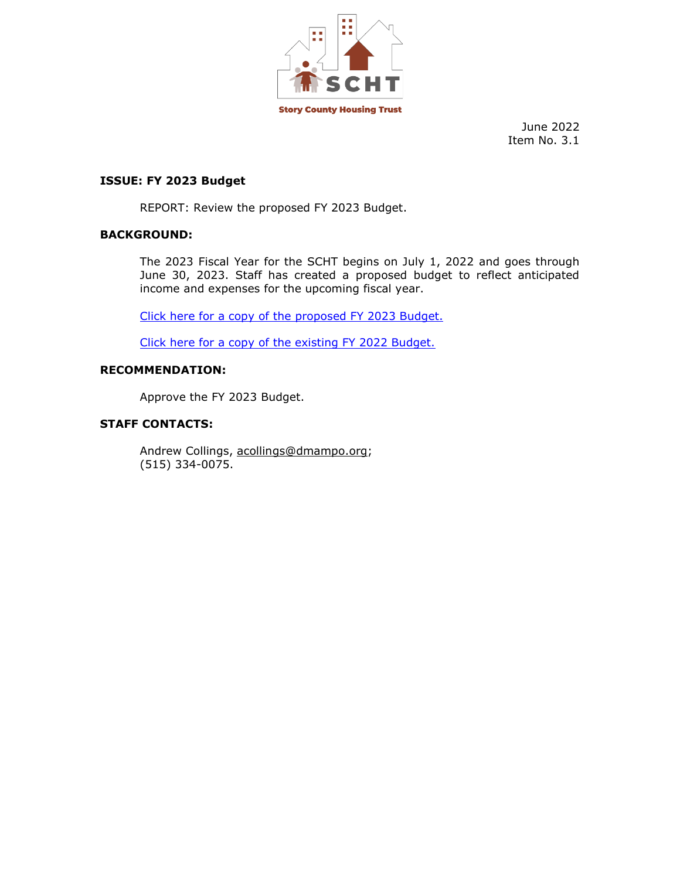

### **ISSUE: FY 2023 Budget**

REPORT: Review the proposed FY 2023 Budget.

## **BACKGROUND:**

The 2023 Fiscal Year for the SCHT begins on July 1, 2022 and goes through June 30, 2023. Staff has created a proposed budget to reflect anticipated income and expenses for the upcoming fiscal year.

[Click here for a copy of the proposed](https://storycountyht.org/wp-content/uploads/2022/06/FY-23-Budget-6.16.22.pdf) FY 2023 Budget.

[Click here for a copy of the existing FY 2022 Budget.](https://storycountyht.org/wp-content/uploads/2022/06/FY-22-DRAFT-6.16.22.pdf)

### **RECOMMENDATION:**

Approve the FY 2023 Budget.

# **STAFF CONTACTS:**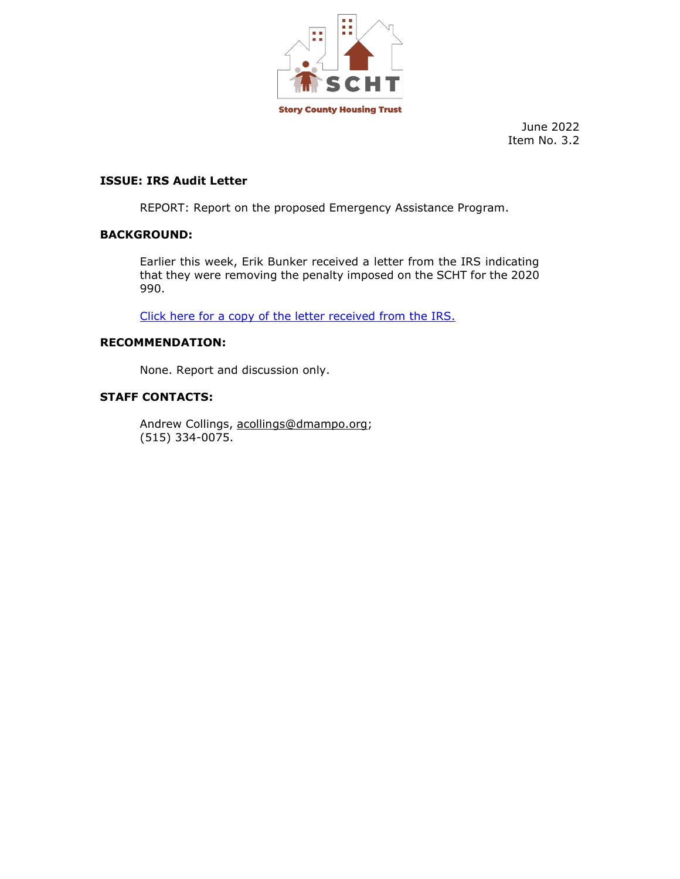

## **ISSUE: IRS Audit Letter**

REPORT: Report on the proposed Emergency Assistance Program.

## **BACKGROUND:**

Earlier this week, Erik Bunker received a letter from the IRS indicating that they were removing the penalty imposed on the SCHT for the 2020 990.

[Click here for a copy of the letter received from the IRS.](https://storycountyht.org/wp-content/uploads/2022/06/Fourth-Letter-Removal-of-Penalty.pdf)

## **RECOMMENDATION:**

None. Report and discussion only.

## **STAFF CONTACTS:**